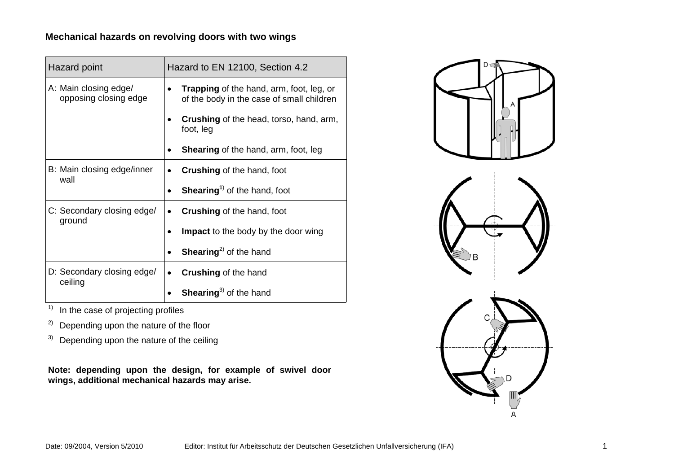## **Mechanical hazards on revolving doors with two wings**

| Hazard point                                   | Hazard to EN 12100, Section 4.2                                                              |  |
|------------------------------------------------|----------------------------------------------------------------------------------------------|--|
| A: Main closing edge/<br>opposing closing edge | <b>Trapping</b> of the hand, arm, foot, leg, or<br>of the body in the case of small children |  |
|                                                | <b>Crushing</b> of the head, torso, hand, arm,<br>foot, leg                                  |  |
|                                                | <b>Shearing of the hand, arm, foot, leg</b>                                                  |  |
| B: Main closing edge/inner<br>wall             | <b>Crushing of the hand, foot</b>                                                            |  |
|                                                | <b>Shearing</b> <sup>1)</sup> of the hand, foot                                              |  |
| C: Secondary closing edge/<br>ground           | <b>Crushing of the hand, foot</b>                                                            |  |
|                                                | <b>Impact</b> to the body by the door wing                                                   |  |
|                                                | <b>Shearing</b> <sup>2)</sup> of the hand                                                    |  |
| D: Secondary closing edge/                     | <b>Crushing of the hand</b><br>٠                                                             |  |
| ceiling                                        | <b>Shearing</b> <sup>3)</sup> of the hand                                                    |  |

 $\frac{1}{1}$  In the case of projecting profiles

<sup>2)</sup> Depending upon the nature of the floor

 $3)$  Depending upon the nature of the ceiling

**Note: depending upon the design, for example of swivel door wings, additional mechanical hazards may arise.** 

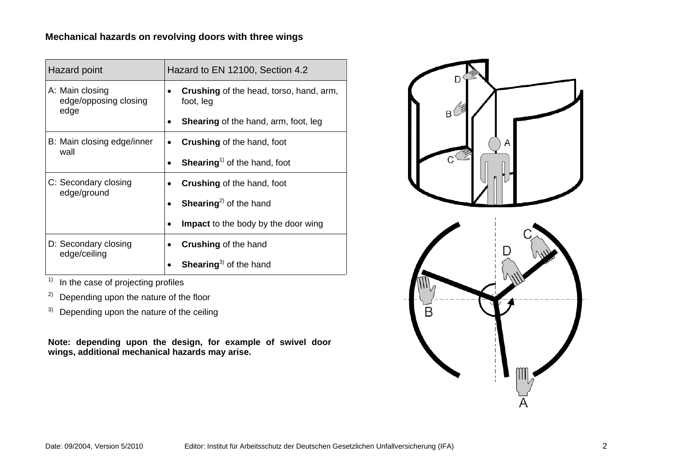## **Mechanical hazards on revolving doors with three wings**

| Hazard point                                     | Hazard to EN 12100, Section 4.2                             |  |
|--------------------------------------------------|-------------------------------------------------------------|--|
| A: Main closing<br>edge/opposing closing<br>edge | <b>Crushing</b> of the head, torso, hand, arm,<br>foot, leg |  |
|                                                  | <b>Shearing of the hand, arm, foot, leg</b>                 |  |
| B: Main closing edge/inner<br>wall               | <b>Crushing of the hand, foot</b>                           |  |
|                                                  | <b>Shearing</b> <sup>1)</sup> of the hand, foot             |  |
| C: Secondary closing<br>edge/ground              | <b>Crushing of the hand, foot</b>                           |  |
|                                                  | <b>Shearing</b> <sup>2)</sup> of the hand                   |  |
|                                                  | <b>Impact</b> to the body by the door wing                  |  |
| D: Secondary closing<br>edge/ceiling             | <b>Crushing of the hand</b>                                 |  |
|                                                  | Shearing <sup>3)</sup> of the hand                          |  |

 $\overline{1}$  In the case of projecting profiles

<sup>2)</sup> Depending upon the nature of the floor

 $3)$  Depending upon the nature of the ceiling

**Note: depending upon the design, for example of swivel door wings, additional mechanical hazards may arise.**